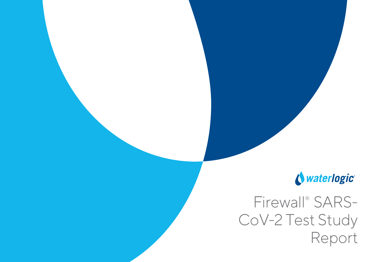## Nuaterlogic

# Firewall<sup>®</sup> SARS-CoV-2 Test Study Report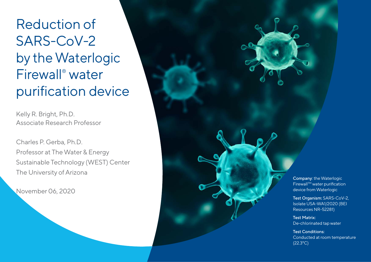Reduction of SARS-CoV-2 by the Waterlogic Firewall ® water purification device

Kelly R. Bright, Ph.D. Associate Research Professor

Charles P. Gerba, Ph.D. Professor at The Water & Energy Sustainable Technology (WEST) Center The University of Arizona

November 06, 2020

Company: the Waterlogic FirewallTM water purification device from Waterlogic

Test Organism: SARS-CoV-2, Isolate USA-WA1/2020 (BEI Resources NR-52281)

Test Matrix: De-chlorinated tap water

Test Conditions: Conducted at room temperature (22.3°C)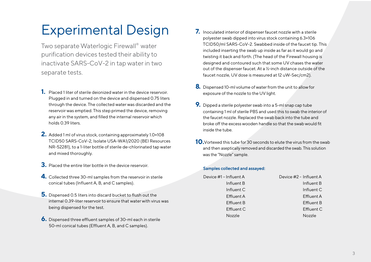## Experimental Design

Two separate Waterlogic Firewall® water purification devices tested their ability to inactivate SARS-CoV-2 in tap waterin two separate tests.

- **1.** Placed 1 liter of sterile deionized water in the device reservoir. Plugged in and turned on the device and dispensed 0.75 liters through the device. The collected water was discarded and the reservoir was emptied. This step primed the device, removing any air in the system, and filled the internal reservoir which holds 0.39 liters.
- **2.** Added 1 ml of virus stock, containing approximately 1.0×108 TCID50 SARS-CoV-2, Isolate USA-WA1/2020 (BEI Resources NR-52281), to a 1-liter bottle of sterile de-chlorinated tap water and mixed thoroughly.
- **3.** Placed the entire liter bottle in the device reservoir.
- **4.** Collected three 30-ml samples from the reservoir in sterile conical tubes (Influent A, B, and C samples).
- **5.** Dispensed 0.5 liters into discard bucket to flush out the internal 0.39-liter reservoir to ensure that water with virus was being dispensed for the test.
- **6.** Dispensed three effluent samples of 30-ml each in sterile 50-ml conical tubes (Effluent A, B, and C samples).
- **7.** Inoculated interior of dispenser faucet nozzle with a sterile polyester swab dipped into virus stock containing 6.3×106 TCID50/ml SARS-CoV-2. Swabbed inside of the faucet tip. This included inserting the swab up inside as far as it would go and twisting it back and forth. (The head of the Firewall housing is designed and contoured such that some UV chases the water out of the dispenser faucet. At a ½-inch distance outside of the faucet nozzle, UV dose is measured at 12 uW-Sec/cm2).
- **8.** Dispensed 10-ml volume of water from the unit to allow for exposure of the nozzle to the UV light.
- **9.** Dipped a sterile polyester swab into a 5-ml snap cap tube containing 1 ml of sterile PBS and used this to swab the interior of the faucet nozzle. Replaced the swab back into the tube and broke off the excess wooden handle so that the swab would fit inside the tube.
- **10.**Vortexed this tube for 30 seconds to elute the virus from the swab and then aseptically removed and discarded the swab. This solution was the "Nozzle" sample.

#### **Samples collected and assayed:**

| Device #1 - Influent A | Device #2 - Influent A |
|------------------------|------------------------|
| Influent B             | Influent B             |
| Influent C             | Influent C             |
| Effluent A             | Effluent A             |
| Effluent B             | Effluent B             |
| Effluent C             | <b>Effluent C</b>      |
| <b>Nozzle</b>          | <b>Nozzle</b>          |
|                        |                        |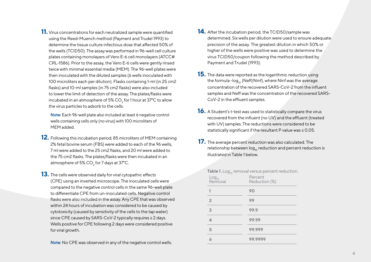**11.** Virus concentrations for each neutralized sample were quantified using the Reed-Muench method (Payment and Trudel 1993) to determine the tissue culture infectious dose that affected 50% of the wells (TCID50). The assay was performed in 96-well cell culture plates containing monolayers of Vero E-6 cell monolayers (ATCC# CRL-1586). Prior to the assay, the Vero E-6 cells were gently rinsed twice with minimal essential media (MEM). The 96-well plates were then inoculated with the diluted samples (6 wells inoculated with 100 microliters each per dilution). Flasks containing 1-ml (in 25 cm2 flasks) and 10-ml samples (in 75 cm2 flasks) were also included to lower the limit of detection of the assay. The plates/flasks were incubated in an atmosphere of 5% CO $_{\rm 2}$  for 1 hour at 37°C to allow the virus particles to adsorb to the cells.

**Note:** Each 96-well plate also included at least 6 negative control wells containing cells only (no virus) with 100 microliters of MEM added.

- **12.** Following this incubation period, 85 microliters of MEM containing 2% fetal bovine serum (FBS) were added to each of the 96 wells, 7 ml were added to the 25 cm2 flasks, and 20 ml were added to the 75 cm2 flasks. The plates/flasks were then incubated in an atmosphere of 5% CO $_{\rm 2}$  for 7 days at 37°C.
- **13.** The cells were observed daily for viral cytopathic effects (CPE) using an inverted microscope. The inoculated cells were compared to the negative control cells in the same 96-well plate to differentiate CPE from un-inoculated cells. Negative control flasks were also included in the assay. Any CPE that was observed within 24 hours of incubation was considered to be caused by cytotoxicity (caused by sensitivity of the cells to the tap water) since CPE caused by SARS-CoV-2 typically requires ≥ 2 days. Wells positive for CPE following 2 days were considered positive for viral growth.

**Note:** No CPE was observed in any of the negative control wells.

- **14.** After the incubation period, the TCID50/sample was determined. Six wells per dilution were used to ensure adequate precision of the assay. The greatest dilution in which 50% or higher of the wells were positive was used to determine the virus TCID50/coupon following the method described by Payment and Trudel (1993).
- **15.** The data were reported as the logarithmic reduction using the formula -log<sub>10</sub> (Neff/Ninf), where Ninf was the average concentration of the recovered SARS-CoV-2 from the influent samples and Neff was the concentration of the recovered SARS-CoV-2 in the effluent samples.
- 16. A Student's t-test was used to statistically compare the virus recovered from the influent (no UV) and the effluent (treated with UV) samples. The reductions were considered to be statistically significant if the resultant P value was ≤ 0.05.
- **17.** The average percent reduction was also calculated. The relationship between  $log_{10}$  reduction and percent reduction is illustrated in Table 1 below.

| <b>Table 1.</b> Log <sub>10</sub> removal versus percent reduction. |                          |  |  |  |
|---------------------------------------------------------------------|--------------------------|--|--|--|
| Log <sub>10</sub><br>Removal                                        | Percent<br>Reduction (%) |  |  |  |
|                                                                     | 90                       |  |  |  |
| 2                                                                   | 99                       |  |  |  |
| 3                                                                   | 99.9                     |  |  |  |
| 4                                                                   | 99.99                    |  |  |  |
| 5                                                                   | 99.999                   |  |  |  |
| 6                                                                   | 99.9999                  |  |  |  |
|                                                                     |                          |  |  |  |

**Table 1.** Log<sub>10</sub> removal versus percent reduction.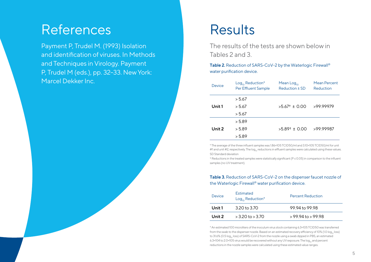## References

Payment P, Trudel M. (1993) Isolation and identification of viruses. In Methods and Techniques in Virology. Payment P, Trudel M (eds.), pp. 32–33. New York: Marcel Dekker Inc.

## Results

The results of the tests are shown below in Tables 2 and 3.

**Table 2.** Reduction of SARS-CoV-2 by the Waterlogic Firewall® water purification device.

| Device | $Log_{10}$ Reduction*<br>Per Effluent Sample | Mean $Log_{10}$<br>Reduction ± SD | <b>Mean Percent</b><br>Reduction |
|--------|----------------------------------------------|-----------------------------------|----------------------------------|
|        | > 5.67                                       |                                   |                                  |
| Unit 1 | > 5.67                                       | $>5.67$ <sup>+</sup> ± 0.00       | >99.99979                        |
|        | > 5.67                                       |                                   |                                  |
|        | > 5.89                                       |                                   |                                  |
| Unit 2 | > 5.89                                       | $>5.89$ <sup>+</sup> ± 0.00       | >99.99987                        |
|        | > 5.89                                       |                                   |                                  |

\* The average of the three influent sampleswas 1.86×105TCID50/ml and 3.10×105 TCID50/ml for unit #1 and unit #2, respectively. The log<sub>1</sub> reductions in effluent samples were calculated using these values. SD Standard deviation

† Reductions in the treated sampleswere statistically significant (P≤ 0.05) in comparison to the influent samples (no UV treatment).

### **Table 3.** Reduction of SARS-CoV-2 on the dispenser faucet nozzle of the Waterlogic Firewall® water purification device.

| Device | <b>Estimated</b><br>$Log_{10}$ Reduction* | <b>Percent Reduction</b> |
|--------|-------------------------------------------|--------------------------|
| Unit 1 | 3.20 to 3.70                              | 99.94 to 99.98           |
| Unit 2 | $>3.20$ to $>3.70$                        | $>$ 99.94 to $>$ 99.98   |

\* An estimated 100 microliters of the inoculum virus stock containing 6.3×105 TCID50 was transferred from the swab to the dispenser nozzle. Based on an estimated recovery efficiency of 10% (1.0 log., loss) to 31.6% (0.5 log<sub>10</sub> loss) of SARS-CoV-2 from the nozzle using a swab dipped in PBS, an estimated 6.3×104 to 2.0×105 virus would be recovered without any UV exposure. The log<sub>10</sub> and percent reductions in the nozzle samples were calculated using these estimated value ranges.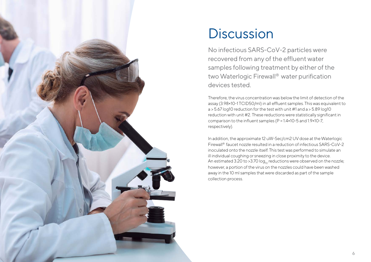

## **Discussion**

No infectious SARS-CoV-2 particles were recovered from any of the effluent water samples following treatment by either of the two Waterlogic Firewall® water purification devices tested.

Therefore, the virus concentration was below the limit of detection of the assay (3.98×10-1 TCID50/ml) in all effluent samples. This was equivalent to  $a > 5.67$  log10 reduction for the test with unit #1 and  $a > 5.89$  log10 reduction with unit #2. These reductions were statistically significant in comparison to the influent samples (P = 1.4×10-5 and 1.9×10-7, respectively).

In addition, the approximate 12 uW-Sec/cm2 UV dose at the Waterlogic Firewall® faucet nozzle resulted in a reduction of infectious SARS-CoV-2 inoculated onto the nozzle itself. This test was performed to simulate an ill individual coughing or sneezing in close proximity to the device. An estimated 3.20 to >3.70  $log_{10}$  reductions were observed on the nozzle; however, a portion of the virus on the nozzles could have been washed away in the 10 ml samples that were discarded as part of the sample collection process.